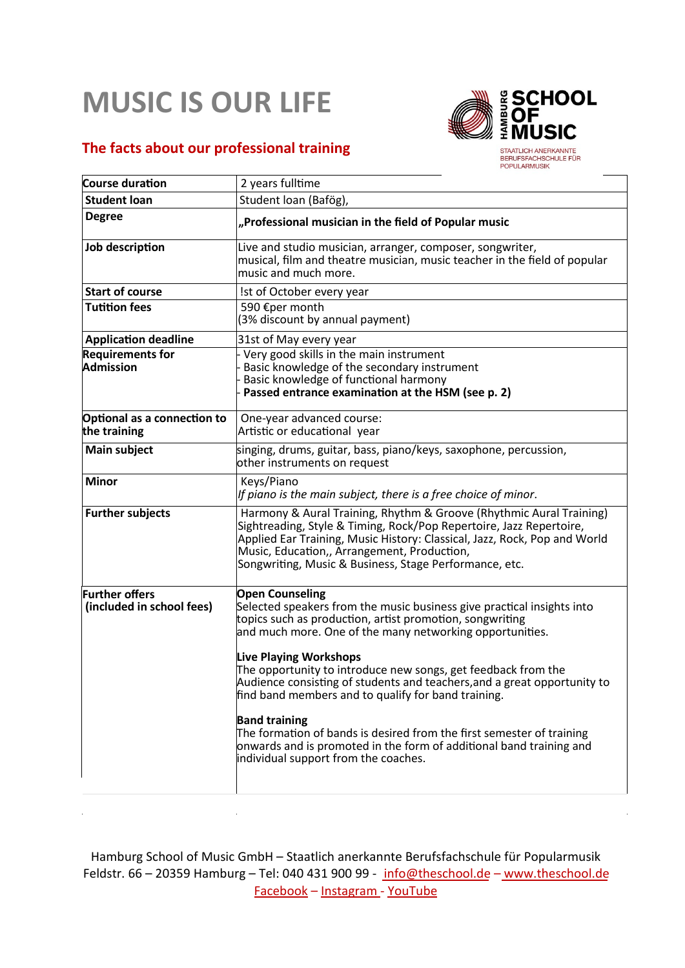## **MUSIC IS OUR LIFE**

## **The facts about our professional training**

 $\ddot{\phantom{a}}$ 



BERUFSFACHSCHULE FÜR

| <b>Course duration</b>                             | 2 years fulltime                                                                                                                                                                                                                                                                                                                                                                                                                                                                                                                                                                                                                                                              |
|----------------------------------------------------|-------------------------------------------------------------------------------------------------------------------------------------------------------------------------------------------------------------------------------------------------------------------------------------------------------------------------------------------------------------------------------------------------------------------------------------------------------------------------------------------------------------------------------------------------------------------------------------------------------------------------------------------------------------------------------|
| <b>Student loan</b>                                | Student Ioan (Bafög),                                                                                                                                                                                                                                                                                                                                                                                                                                                                                                                                                                                                                                                         |
| <b>Degree</b>                                      | "Professional musician in the field of Popular music                                                                                                                                                                                                                                                                                                                                                                                                                                                                                                                                                                                                                          |
| Job description                                    | Live and studio musician, arranger, composer, songwriter,<br>musical, film and theatre musician, music teacher in the field of popular<br>music and much more.                                                                                                                                                                                                                                                                                                                                                                                                                                                                                                                |
| <b>Start of course</b>                             | Ist of October every year                                                                                                                                                                                                                                                                                                                                                                                                                                                                                                                                                                                                                                                     |
| <b>Tutition fees</b>                               | 590 €per month<br>(3% discount by annual payment)                                                                                                                                                                                                                                                                                                                                                                                                                                                                                                                                                                                                                             |
| <b>Application deadline</b>                        | 31st of May every year                                                                                                                                                                                                                                                                                                                                                                                                                                                                                                                                                                                                                                                        |
| <b>Requirements for</b><br><b>Admission</b>        | Very good skills in the main instrument<br>Basic knowledge of the secondary instrument<br>Basic knowledge of functional harmony<br>Passed entrance examination at the HSM (see p. 2)                                                                                                                                                                                                                                                                                                                                                                                                                                                                                          |
| Optional as a connection to<br>the training        | One-year advanced course:<br>Artistic or educational year                                                                                                                                                                                                                                                                                                                                                                                                                                                                                                                                                                                                                     |
| <b>Main subject</b>                                | singing, drums, guitar, bass, piano/keys, saxophone, percussion,<br>other instruments on request                                                                                                                                                                                                                                                                                                                                                                                                                                                                                                                                                                              |
| <b>Minor</b>                                       | Keys/Piano<br>If piano is the main subject, there is a free choice of minor.                                                                                                                                                                                                                                                                                                                                                                                                                                                                                                                                                                                                  |
| <b>Further subjects</b>                            | Harmony & Aural Training, Rhythm & Groove (Rhythmic Aural Training)<br>Sightreading, Style & Timing, Rock/Pop Repertoire, Jazz Repertoire,<br>Applied Ear Training, Music History: Classical, Jazz, Rock, Pop and World<br>Music, Education,, Arrangement, Production,<br>Songwriting, Music & Business, Stage Performance, etc.                                                                                                                                                                                                                                                                                                                                              |
| <b>Further offers</b><br>(included in school fees) | <b>Open Counseling</b><br>Selected speakers from the music business give practical insights into<br>topics such as production, artist promotion, songwriting<br>and much more. One of the many networking opportunities.<br><b>Live Playing Workshops</b><br>The opportunity to introduce new songs, get feedback from the<br>Audience consisting of students and teachers, and a great opportunity to<br>find band members and to qualify for band training.<br><b>Band training</b><br>The formation of bands is desired from the first semester of training<br>onwards and is promoted in the form of additional band training and<br>individual support from the coaches. |

Hamburg School of Music GmbH – Staatlich anerkannte Berufsfachschule für Popularmusik Feldstr. 66 - 20359 Hamburg - Tel: 040 431 900 99 - info@theschool.de - www.theschool.de Facebook – Instagram - YouTube

 $\hat{\mathcal{A}}$